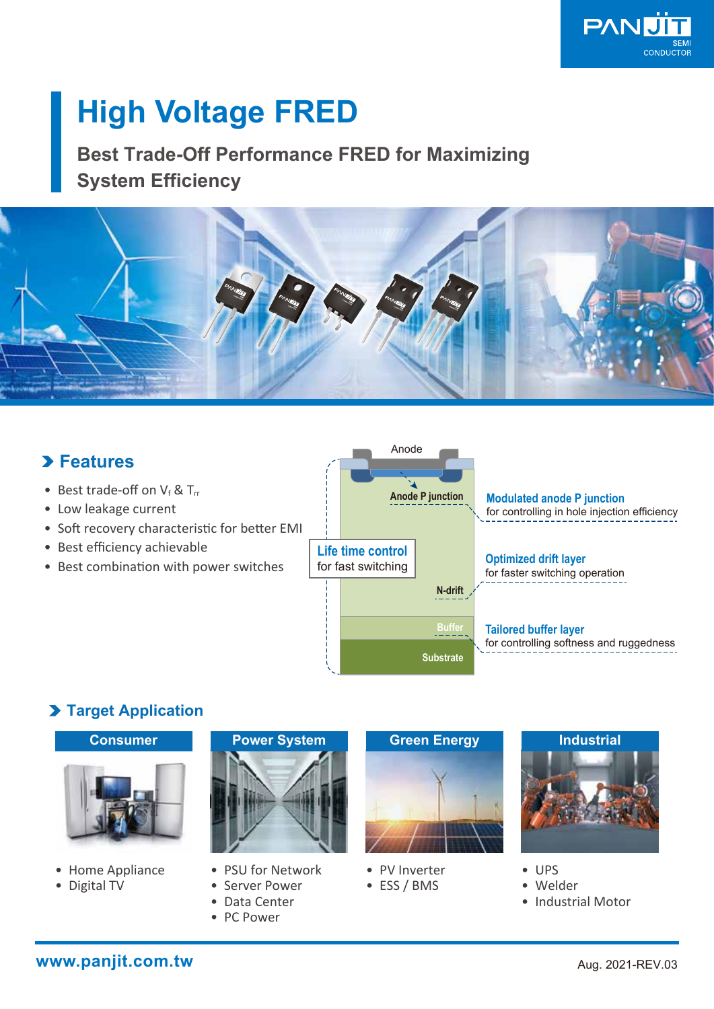

# **High Voltage FRED**

**Best Trade-Off Performance FRED for Maximizing System Efficiency**



# **Features**

- Best trade-off on  $V_f$  & T<sub>rr</sub>
- Low leakage current
- Soft recovery characteristic for better EMI
- Best efficiency achievable
- Best combination with power switches



## **Target Application**



- Home Appliance
- Digital TV



- PSU for Network
- Server Power
- Data Center
- PC Power



- PV Inverter
- ESS / BMS



• UPS

- Welder
- Industrial Motor